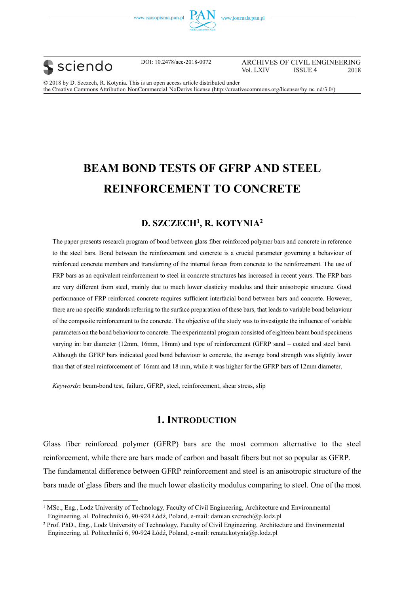





֦

DOI: 10.2478/ace-2018-0072

ARCHIVES OF CIVIL ENGINEERING Vol. LXIV **ISSUE 4** 2018

© 2018 by D. Szczech, R. Kotynia. This is an open access article distributed under the Creative Commons Attribution-NonCommercial-NoDerivs license (http://creativecommons.org/licenses/by-nc-nd/3.0/)

# **BEAM BOND TESTS OF GFRP AND STEEL REINFORCEMENT TO CONCRETE**

# **D. SZCZECH1 , R. KOTYNIA2**

The paper presents research program of bond between glass fiber reinforced polymer bars and concrete in reference to the steel bars. Bond between the reinforcement and concrete is a crucial parameter governing a behaviour of reinforced concrete members and transferring of the internal forces from concrete to the reinforcement. The use of FRP bars as an equivalent reinforcement to steel in concrete structures has increased in recent years. The FRP bars are very different from steel, mainly due to much lower elasticity modulus and their anisotropic structure. Good performance of FRP reinforced concrete requires sufficient interfacial bond between bars and concrete. However, there are no specific standards referring to the surface preparation of these bars, that leads to variable bond behaviour of the composite reinforcement to the concrete. The objective of the study was to investigate the influence of variable parameters on the bond behaviour to concrete. The experimental program consisted of eighteen beam bond specimens varying in: bar diameter (12mm, 16mm, 18mm) and type of reinforcement (GFRP sand – coated and steel bars). Although the GFRP bars indicated good bond behaviour to concrete, the average bond strength was slightly lower than that of steel reinforcement of 16mm and 18 mm, while it was higher for the GFRP bars of 12mm diameter.

*Keywords***:** beam-bond test, failure, GFRP, steel, reinforcement, shear stress, slip

# **1. INTRODUCTION**

Glass fiber reinforced polymer (GFRP) bars are the most common alternative to the steel reinforcement, while there are bars made of carbon and basalt fibers but not so popular as GFRP. The fundamental difference between GFRP reinforcement and steel is an anisotropic structure of the bars made of glass fibers and the much lower elasticity modulus comparing to steel. One of the most

<sup>&</sup>lt;sup>1</sup> MSc., Eng., Lodz University of Technology, Faculty of Civil Engineering, Architecture and Environmental Engineering, al. Politechniki 6, 90-924 Łódź, Poland, e-mail: damian.szczech@p.lodz.pl

<sup>2</sup> Prof. PhD., Eng., Lodz University of Technology, Faculty of Civil Engineering, Architecture and Environmental Engineering, al. Politechniki 6, 90-924 Łódź, Poland, e-mail: renata.kotynia@p.lodz.pl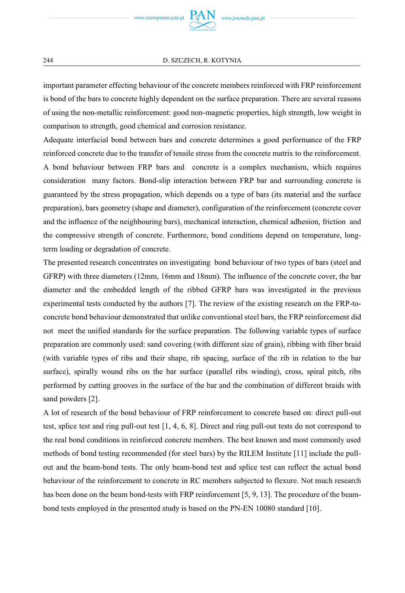important parameter effecting behaviour of the concrete members reinforced with FRP reinforcement is bond of the bars to concrete highly dependent on the surface preparation. There are several reasons of using the non-metallic reinforcement: good non-magnetic properties, high strength, low weight in comparison to strength, good chemical and corrosion resistance.

Adequate interfacial bond between bars and concrete determines a good performance of the FRP reinforced concrete due to the transfer of tensile stress from the concrete matrix to the reinforcement. A bond behaviour between FRP bars and concrete is a complex mechanism, which requires consideration many factors. Bond-slip interaction between FRP bar and surrounding concrete is guaranteed by the stress propagation, which depends on a type of bars (its material and the surface preparation), bars geometry (shape and diameter), configuration of the reinforcement (concrete cover and the influence of the neighbouring bars), mechanical interaction, chemical adhesion, friction and the compressive strength of concrete. Furthermore, bond conditions depend on temperature, longterm loading or degradation of concrete.

The presented research concentrates on investigating bond behaviour of two types of bars (steel and GFRP) with three diameters (12mm, 16mm and 18mm). The influence of the concrete cover, the bar diameter and the embedded length of the ribbed GFRP bars was investigated in the previous experimental tests conducted by the authors [7]. The review of the existing research on the FRP-toconcrete bond behaviour demonstrated that unlike conventional steel bars, the FRP reinforcement did not meet the unified standards for the surface preparation. The following variable types of surface preparation are commonly used: sand covering (with different size of grain), ribbing with fiber braid (with variable types of ribs and their shape, rib spacing, surface of the rib in relation to the bar surface), spirally wound ribs on the bar surface (parallel ribs winding), cross, spiral pitch, ribs performed by cutting grooves in the surface of the bar and the combination of different braids with sand powders [2].

A lot of research of the bond behaviour of FRP reinforcement to concrete based on: direct pull-out test, splice test and ring pull-out test [1, 4, 6, 8]. Direct and ring pull-out tests do not correspond to the real bond conditions in reinforced concrete members. The best known and most commonly used methods of bond testing recommended (for steel bars) by the RILEM Institute [11] include the pullout and the beam-bond tests. The only beam-bond test and splice test can reflect the actual bond behaviour of the reinforcement to concrete in RC members subjected to flexure. Not much research has been done on the beam bond-tests with FRP reinforcement [5, 9, 13]. The procedure of the beambond tests employed in the presented study is based on the PN-EN 10080 standard [10].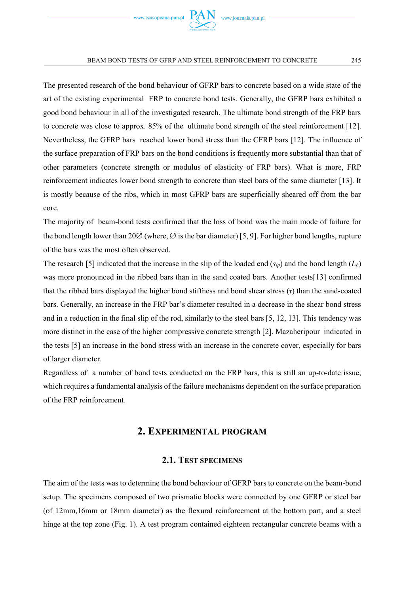

The presented research of the bond behaviour of GFRP bars to concrete based on a wide state of the art of the existing experimental FRP to concrete bond tests. Generally, the GFRP bars exhibited a good bond behaviour in all of the investigated research. The ultimate bond strength of the FRP bars to concrete was close to approx. 85% of the ultimate bond strength of the steel reinforcement [12]. Nevertheless, the GFRP bars reached lower bond stress than the CFRP bars [12]. The influence of the surface preparation of FRP bars on the bond conditions is frequently more substantial than that of other parameters (concrete strength or modulus of elasticity of FRP bars). What is more, FRP reinforcement indicates lower bond strength to concrete than steel bars of the same diameter [13]. It is mostly because of the ribs, which in most GFRP bars are superficially sheared off from the bar core.

The majority of beam-bond tests confirmed that the loss of bond was the main mode of failure for the bond length lower than  $20\%$  (where,  $\varnothing$  is the bar diameter) [5, 9]. For higher bond lengths, rupture of the bars was the most often observed.

The research [5] indicated that the increase in the slip of the loaded end  $(s<sub>ln</sub>)$  and the bond length  $(L<sub>b</sub>)$ was more pronounced in the ribbed bars than in the sand coated bars. Another tests[13] confirmed that the ribbed bars displayed the higher bond stiffness and bond shear stress (*τ*) than the sand-coated bars. Generally, an increase in the FRP bar's diameter resulted in a decrease in the shear bond stress and in a reduction in the final slip of the rod, similarly to the steel bars [5, 12, 13]. This tendency was more distinct in the case of the higher compressive concrete strength [2]. Mazaheripour indicated in the tests [5] an increase in the bond stress with an increase in the concrete cover, especially for bars of larger diameter.

Regardless of a number of bond tests conducted on the FRP bars, this is still an up-to-date issue, which requires a fundamental analysis of the failure mechanisms dependent on the surface preparation of the FRP reinforcement.

# **2. EXPERIMENTAL PROGRAM**

## **2.1. TEST SPECIMENS**

The aim of the tests was to determine the bond behaviour of GFRP bars to concrete on the beam-bond setup. The specimens composed of two prismatic blocks were connected by one GFRP or steel bar (of 12mm,16mm or 18mm diameter) as the flexural reinforcement at the bottom part, and a steel hinge at the top zone (Fig. 1). A test program contained eighteen rectangular concrete beams with a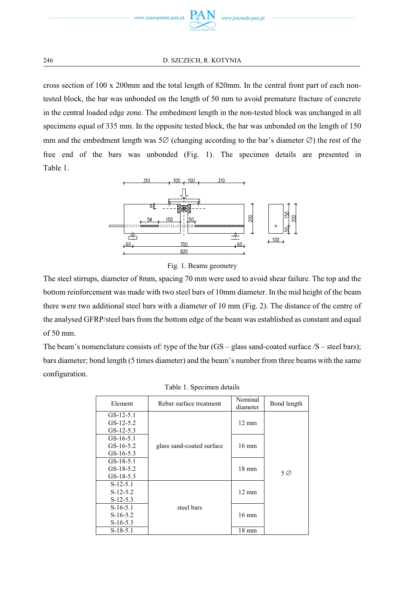

cross section of 100 x 200mm and the total length of 820mm. In the central front part of each nontested block, the bar was unbonded on the length of 50 mm to avoid premature fracture of concrete in the central loaded edge zone. The embedment length in the non-tested block was unchanged in all specimens equal of 335 mm. In the opposite tested block, the bar was unbonded on the length of 150 mm and the embedment length was  $5\varnothing$  (changing according to the bar's diameter  $\varnothing$ ) the rest of the free end of the bars was unbonded (Fig. 1). The specimen details are presented in Table 1.





The steel stirrups, diameter of 8mm, spacing 70 mm were used to avoid shear failure. The top and the bottom reinforcement was made with two steel bars of 10mm diameter. In the mid height of the beam there were two additional steel bars with a diameter of 10 mm (Fig. 2). The distance of the centre of the analysed GFRP/steel bars from the bottom edge of the beam was established as constant and equal of 50 mm.

The beam's nomenclature consists of: type of the bar  $(GS - glass)$  sand-coated surface  $/S - steel$  bars); bars diameter; bond length (5 times diameter) and the beam's number from three beams with the same configuration.

| Element     | Rebar surface treatment   | Nominal<br>diameter | Bond length |  |  |
|-------------|---------------------------|---------------------|-------------|--|--|
| $GS-12-5.1$ |                           |                     |             |  |  |
| $GS-12-5.2$ |                           | $12 \text{ mm}$     |             |  |  |
| $GS-12-5.3$ |                           |                     |             |  |  |
| $GS-16-5.1$ |                           |                     |             |  |  |
| $GS-16-5.2$ | glass sand-coated surface | $16 \text{ mm}$     |             |  |  |
| $GS-16-5.3$ |                           |                     | 5 Ø         |  |  |
| $GS-18-5.1$ |                           | $18 \text{ mm}$     |             |  |  |
| $GS-18-5.2$ |                           |                     |             |  |  |
| $GS-18-5.3$ |                           |                     |             |  |  |
| $S-12-5.1$  |                           |                     |             |  |  |
| $S-12-5.2$  |                           | $12 \text{ mm}$     |             |  |  |
| $S-12-5.3$  |                           |                     |             |  |  |
| $S-16-5.1$  | steel bars                |                     |             |  |  |
| $S-16-5.2$  |                           | $16 \text{ mm}$     |             |  |  |
| $S-16-5.3$  |                           |                     |             |  |  |
| $S-18-5.1$  |                           | $18 \text{ mm}$     |             |  |  |

|  | Table 1. Specimen details |  |
|--|---------------------------|--|
|  |                           |  |
|  |                           |  |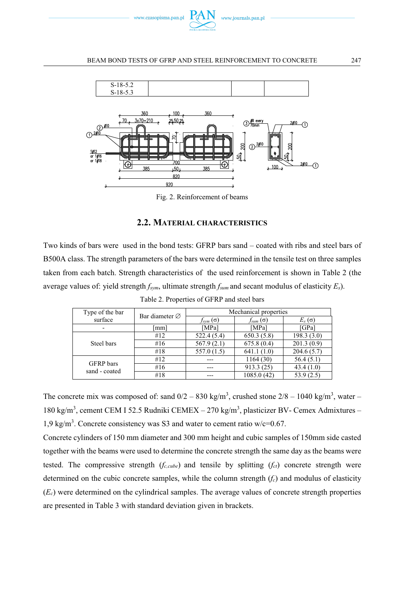



Fig. 2. Reinforcement of beams

## **2.2. MATERIAL CHARACTERISTICS**

Two kinds of bars were used in the bond tests: GFRP bars sand – coated with ribs and steel bars of B500A class. The strength parameters of the bars were determined in the tensile test on three samples taken from each batch. Strength characteristics of the used reinforcement is shown in Table 2 (the average values of: yield strength *fsym*, ultimate strength *fsum* and secant modulus of elasticity *Es*).

| Type of the bar            | Bar diameter $\varnothing$ | Mechanical properties |                   |               |  |  |  |
|----------------------------|----------------------------|-----------------------|-------------------|---------------|--|--|--|
| surface                    |                            | $f_{sym}(\sigma)$     | $f_{sum}(\sigma)$ | $E_s(\sigma)$ |  |  |  |
|                            | mm                         | [MPa]                 | [MPa]             | [GPa]         |  |  |  |
| Steel bars                 | #12                        | 522.4(5.4)            | 650.3(5.8)        | 198.3(3.0)    |  |  |  |
|                            | #16                        | 567.9(2.1)            | 675.8(0.4)        | 201.3(0.9)    |  |  |  |
|                            | #18                        | 557.0(1.5)            | 641.1(1.0)        | 204.6(5.7)    |  |  |  |
| GFRP bars<br>sand - coated | #12                        |                       | 1164(30)          | 56.4(5.1)     |  |  |  |
|                            | #16                        |                       | 913.3 (25)        | 43.4(1.0)     |  |  |  |
|                            | #18                        |                       | 1085.0 (42)       | 53.9(2.5)     |  |  |  |

Table 2. Properties of GFRP and steel bars

The concrete mix was composed of: sand  $0/2 - 830$  kg/m<sup>3</sup>, crushed stone  $2/8 - 1040$  kg/m<sup>3</sup>, water – 180 kg/m<sup>3</sup>, cement CEM I 52.5 Rudniki CEMEX – 270 kg/m<sup>3</sup>, plasticizer BV- Cemex Admixtures – 1,9 kg/m<sup>3</sup> . Concrete consistency was S3 and water to cement ratio w/c=0.67.

Concrete cylinders of 150 mm diameter and 300 mm height and cubic samples of 150mm side casted together with the beams were used to determine the concrete strength the same day as the beams were tested. The compressive strength  $(f_{c,cube})$  and tensile by splitting  $(f_{ct})$  concrete strength were determined on the cubic concrete samples, while the column strength  $(f_c)$  and modulus of elasticity  $(E_c)$  were determined on the cylindrical samples. The average values of concrete strength properties are presented in Table 3 with standard deviation given in brackets.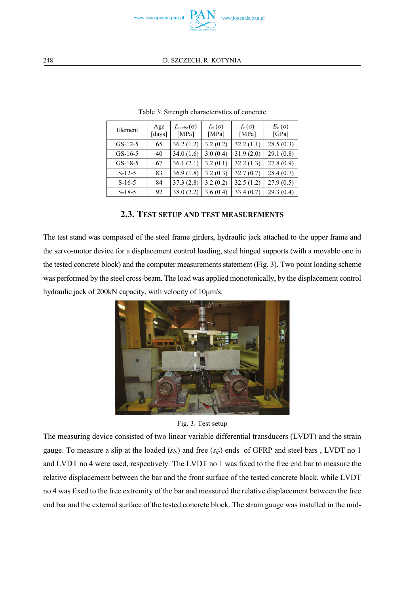

| Element   | Age<br>[days] | $f_{c, cube}(\sigma)$<br>[MPa] | $f_{ct}(\sigma)$<br>[MPa] | $f_c(\sigma)$<br>[MPa] | $E_c(\sigma)$<br>[GPa] |
|-----------|---------------|--------------------------------|---------------------------|------------------------|------------------------|
| $GS-12-5$ | 65            | 36.2(1.2)                      | 3.2(0.2)                  | 32.2(1.1)              | 28.5(0.3)              |
| $GS-16-5$ | 40            | 34.0(1.6)                      | 3.0(0.4)                  | 31.9(2.0)              | 29.1(0.8)              |
| $GS-18-5$ | 67            | 36.1(2.1)                      | 3.2(0.1)                  | 32.2(1.3)              | 27.8(0.9)              |
| $S-12-5$  | 83            | 36.9(1.8)                      | 3.2(0.3)                  | 32.7(0.7)              | 28.4(0.7)              |
| $S-16-5$  | 84            | 37.3(2.8)                      | 3.2(0.2)                  | 32.5(1.2)              | 27.9(0.5)              |
| $S-18-5$  | 92            | 38.0(2.2)                      | 3.6(0.4)                  | 33.4(0.7)              | 29.3(0.4)              |

Table 3. Strength characteristics of concrete

# **2.3. TEST SETUP AND TEST MEASUREMENTS**

The test stand was composed of the steel frame girders, hydraulic jack attached to the upper frame and the servo-motor device for a displacement control loading, steel hinged supports (with a movable one in the tested concrete block) and the computer measurements statement (Fig. 3). Two point loading scheme was performed by the steel cross-beam. The load was applied monotonically, by the displacement control hydraulic jack of 200kN capacity, with velocity of 10μm/s.



Fig. 3. Test setup

The measuring device consisted of two linear variable differential transducers (LVDT) and the strain gauge. To measure a slip at the loaded  $(s_{lp})$  and free  $(s_{fp})$  ends of GFRP and steel bars, LVDT no 1 and LVDT no 4 were used, respectively. The LVDT no 1 was fixed to the free end bar to measure the relative displacement between the bar and the front surface of the tested concrete block, while LVDT no 4 was fixed to the free extremity of the bar and measured the relative displacement between the free end bar and the external surface of the tested concrete block. The strain gauge was installed in the mid-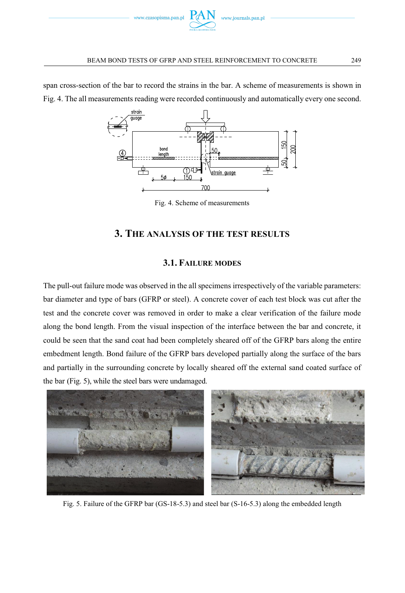

span cross-section of the bar to record the strains in the bar. A scheme of measurements is shown in Fig. 4. The all measurements reading were recorded continuously and automatically every one second.



Fig. 4. Scheme of measurements

## **3. THE ANALYSIS OF THE TEST RESULTS**

## **3.1. FAILURE MODES**

The pull-out failure mode was observed in the all specimens irrespectively of the variable parameters: bar diameter and type of bars (GFRP or steel). A concrete cover of each test block was cut after the test and the concrete cover was removed in order to make a clear verification of the failure mode along the bond length. From the visual inspection of the interface between the bar and concrete, it could be seen that the sand coat had been completely sheared off of the GFRP bars along the entire embedment length. Bond failure of the GFRP bars developed partially along the surface of the bars and partially in the surrounding concrete by locally sheared off the external sand coated surface of the bar (Fig. 5), while the steel bars were undamaged.



Fig. 5. Failure of the GFRP bar (GS-18-5.3) and steel bar (S-16-5.3) along the embedded length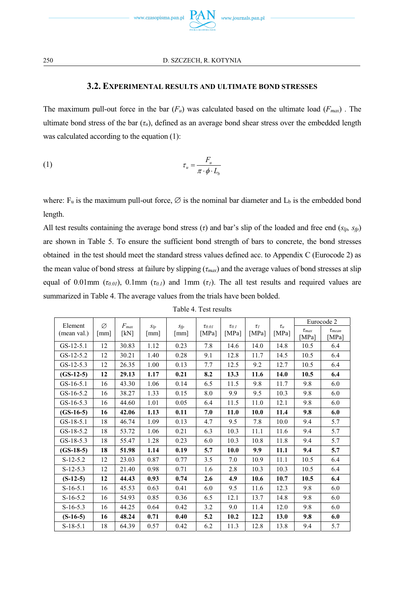

## **3.2. EXPERIMENTAL RESULTS AND ULTIMATE BOND STRESSES**

The maximum pull-out force in the bar  $(F_u)$  was calculated based on the ultimate load  $(F_{max})$ . The ultimate bond stress of the bar  $(\tau_u)$ , defined as an average bond shear stress over the embedded length was calculated according to the equation (1):

$$
\tau_u = \frac{F_u}{\pi \cdot \phi \cdot L_b}
$$

where:  $F_u$  is the maximum pull-out force,  $\varnothing$  is the nominal bar diameter and  $L_b$  is the embedded bond length.

All test results containing the average bond stress (*τ*) and bar's slip of the loaded and free end (*slp, sfp*) are shown in Table 5. To ensure the sufficient bond strength of bars to concrete, the bond stresses obtained in the test should meet the standard stress values defined acc. to Appendix C (Eurocode 2) as the mean value of bond stress at failure by slipping (*τmax*) and the average values of bond stresses at slip equal of 0.01mm ( $\tau$ <sub>0.01</sub>), 0.1mm ( $\tau$ <sub>0.1</sub>) and 1mm ( $\tau$ <sub>1</sub>). The all test results and required values are summarized in Table 4. The average values from the trials have been bolded.

| Element     | Ø                    | $F_{max}$ |                                  |                                  |                            |                       | $\tau_I$ | $\tau_u$ | Eurocode 2            |                                 |
|-------------|----------------------|-----------|----------------------------------|----------------------------------|----------------------------|-----------------------|----------|----------|-----------------------|---------------------------------|
| (mean val.) | $\lceil$ mm $\rceil$ | [kN]      | $S_{lp}$<br>$\lceil$ mm $\rceil$ | $S_{fp}$<br>$\lceil$ mm $\rceil$ | $\tau_{0.01}$<br>[ $MPa$ ] | $\tau_{0.1}$<br>[MPa] | [MPa]    | [MPa]    | $\tau_{max}$<br>[MPa] | $\tau$ <sub>mean</sub><br>[MPa] |
| $GS-12-5.1$ | 12                   | 30.83     | 1.12                             | 0.23                             | 7.8                        | 14.6                  | 14.0     | 14.8     | 10.5                  | 6.4                             |
| $GS-12-5.2$ | 12                   | 30.21     | 1.40                             | 0.28                             | 9.1                        | 12.8                  | 11.7     | 14.5     | 10.5                  | 6.4                             |
| $GS-12-5.3$ | 12                   | 26.35     | 1.00                             | 0.13                             | 7.7                        | 12.5                  | 9.2      | 12.7     | 10.5                  | 6.4                             |
| $(GS-12-5)$ | 12                   | 29.13     | 1.17                             | 0.21                             | 8.2                        | 13.3                  | 11.6     | 14.0     | 10.5                  | 6.4                             |
| $GS-16-5.1$ | 16                   | 43.30     | 1.06                             | 0.14                             | 6.5                        | 11.5                  | 9.8      | 11.7     | 9.8                   | 6.0                             |
| $GS-16-5.2$ | 16                   | 38.27     | 1.33                             | 0.15                             | 8.0                        | 9.9                   | 9.5      | 10.3     | 9.8                   | 6.0                             |
| $GS-16-5.3$ | 16                   | 44.60     | 1.01                             | 0.05                             | 6.4                        | 11.5                  | 11.0     | 12.1     | 9.8                   | 6.0                             |
| $(GS-16-5)$ | 16                   | 42.06     | 1.13                             | 0.11                             | 7.0                        | 11.0                  | 10.0     | 11.4     | 9.8                   | 6.0                             |
| $GS-18-5.1$ | 18                   | 46.74     | 1.09                             | 0.13                             | 4.7                        | 9.5                   | 7.8      | 10.0     | 9.4                   | 5.7                             |
| $GS-18-5.2$ | 18                   | 53.72     | 1.06                             | 0.21                             | 6.3                        | 10.3                  | 11.1     | 11.6     | 9.4                   | 5.7                             |
| $GS-18-5.3$ | 18                   | 55.47     | 1.28                             | 0.23                             | 6.0                        | 10.3                  | 10.8     | 11.8     | 9.4                   | 5.7                             |
| $(GS-18-5)$ | 18                   | 51.98     | 1.14                             | 0.19                             | 5.7                        | 10.0                  | 9.9      | 11.1     | 9.4                   | 5.7                             |
| $S-12-5.2$  | 12                   | 23.03     | 0.87                             | 0.77                             | 3.5                        | 7.0                   | 10.9     | 11.1     | 10.5                  | 6.4                             |
| $S-12-5.3$  | 12                   | 21.40     | 0.98                             | 0.71                             | 1.6                        | 2.8                   | 10.3     | 10.3     | 10.5                  | 6.4                             |
| $(S-12-5)$  | 12                   | 44.43     | 0.93                             | 0.74                             | 2.6                        | 4.9                   | 10.6     | 10.7     | 10.5                  | 6.4                             |
| $S-16-5.1$  | 16                   | 45.53     | 0.63                             | 0.41                             | 6.0                        | 9.5                   | 11.6     | 12.3     | 9.8                   | 6.0                             |
| $S-16-5.2$  | 16                   | 54.93     | 0.85                             | 0.36                             | 6.5                        | 12.1                  | 13.7     | 14.8     | 9.8                   | 6.0                             |
| $S-16-5.3$  | 16                   | 44.25     | 0.64                             | 0.42                             | 3.2                        | 9.0                   | 11.4     | 12.0     | 9.8                   | 6.0                             |
| $(S-16-5)$  | 16                   | 48.24     | 0.71                             | 0.40                             | 5.2                        | 10.2                  | 12.2     | 13.0     | 9.8                   | 6.0                             |
| $S-18-5.1$  | 18                   | 64.39     | 0.57                             | 0.42                             | 6.2                        | 11.3                  | 12.8     | 13.8     | 9.4                   | 5.7                             |

Table 4. Test results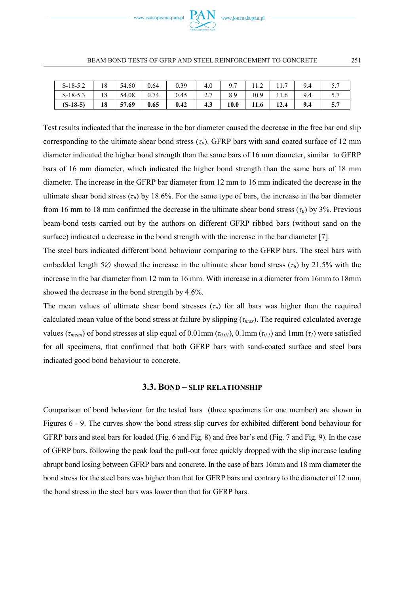

| $S-18-5.3$ |    | 54.08 | 0.74 | 0.45 | ، ، ، | 8.9  | 10.9 | 11.6 | 9.4 | ، ، ب<br>. |
|------------|----|-------|------|------|-------|------|------|------|-----|------------|
| $(S-18-5)$ | 18 | 57.69 | 0.65 | 0.42 | 4.3   | 10.0 | 11.6 | 12.4 | 9.4 | 3.1        |

Test results indicated that the increase in the bar diameter caused the decrease in the free bar end slip corresponding to the ultimate shear bond stress ( $\tau_u$ ). GFRP bars with sand coated surface of 12 mm diameter indicated the higher bond strength than the same bars of 16 mm diameter, similar to GFRP bars of 16 mm diameter, which indicated the higher bond strength than the same bars of 18 mm diameter. The increase in the GFRP bar diameter from 12 mm to 16 mm indicated the decrease in the ultimate shear bond stress  $(\tau_u)$  by 18.6%. For the same type of bars, the increase in the bar diameter from 16 mm to 18 mm confirmed the decrease in the ultimate shear bond stress (*τu*) by 3%. Previous beam-bond tests carried out by the authors on different GFRP ribbed bars (without sand on the surface) indicated a decrease in the bond strength with the increase in the bar diameter [7].

The steel bars indicated different bond behaviour comparing to the GFRP bars. The steel bars with embedded length 5 $\varnothing$  showed the increase in the ultimate shear bond stress ( $\tau_u$ ) by 21.5% with the increase in the bar diameter from 12 mm to 16 mm. With increase in a diameter from 16mm to 18mm showed the decrease in the bond strength by 4.6%.

The mean values of ultimate shear bond stresses  $(\tau_u)$  for all bars was higher than the required calculated mean value of the bond stress at failure by slipping (*τmax*). The required calculated average values ( $\tau_{mean}$ ) of bond stresses at slip equal of 0.01mm ( $\tau_{0.01}$ ), 0.1mm ( $\tau_{0.1}$ ) and 1mm ( $\tau_l$ ) were satisfied for all specimens, that confirmed that both GFRP bars with sand-coated surface and steel bars indicated good bond behaviour to concrete.

## **3.3. BOND – SLIP RELATIONSHIP**

Comparison of bond behaviour for the tested bars (three specimens for one member) are shown in Figures 6 - 9. The curves show the bond stress-slip curves for exhibited different bond behaviour for GFRP bars and steel bars for loaded (Fig. 6 and Fig. 8) and free bar's end (Fig. 7 and Fig. 9). In the case of GFRP bars, following the peak load the pull-out force quickly dropped with the slip increase leading abrupt bond losing between GFRP bars and concrete. In the case of bars 16mm and 18 mm diameter the bond stress for the steel bars was higher than that for GFRP bars and contrary to the diameter of 12 mm, the bond stress in the steel bars was lower than that for GFRP bars.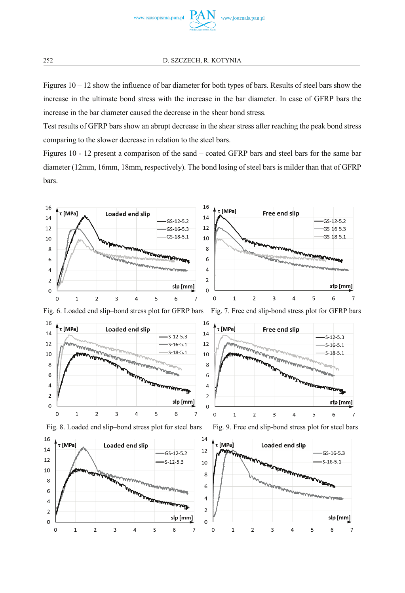

Figures  $10 - 12$  show the influence of bar diameter for both types of bars. Results of steel bars show the increase in the ultimate bond stress with the increase in the bar diameter. In case of GFRP bars the increase in the bar diameter caused the decrease in the shear bond stress.

Test results of GFRP bars show an abrupt decrease in the shear stress after reaching the peak bond stress comparing to the slower decrease in relation to the steel bars.

Figures 10 - 12 present a comparison of the sand – coated GFRP bars and steel bars for the same bar diameter (12mm, 16mm, 18mm, respectively). The bond losing of steel bars is milder than that of GFRP bars.



Fig. 6. Loaded end slip–bond stress plot for GFRP bars Fig. 7. Free end slip-bond stress plot for GFRP bars









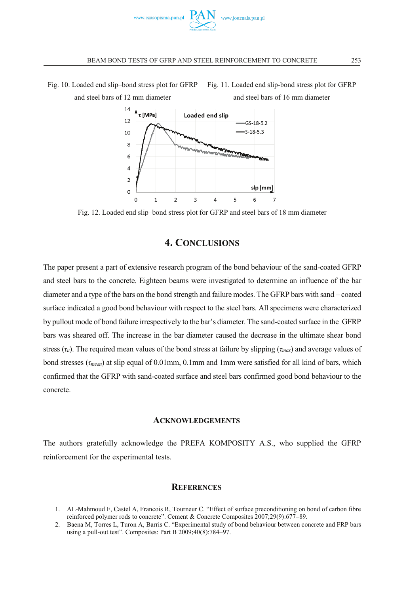





Fig. 12. Loaded end slip–bond stress plot for GFRP and steel bars of 18 mm diameter

# **4. CONCLUSIONS**

The paper present a part of extensive research program of the bond behaviour of the sand-coated GFRP and steel bars to the concrete. Eighteen beams were investigated to determine an influence of the bar diameter and a type of the bars on the bond strength and failure modes. The GFRP bars with sand – coated surface indicated a good bond behaviour with respect to the steel bars. All specimens were characterized by pullout mode of bond failure irrespectively to the bar's diameter. The sand-coated surface in the GFRP bars was sheared off. The increase in the bar diameter caused the decrease in the ultimate shear bond stress (*τu*). The required mean values of the bond stress at failure by slipping (*τmax*) and average values of bond stresses (*τmean*) at slip equal of 0.01mm, 0.1mm and 1mm were satisfied for all kind of bars, which confirmed that the GFRP with sand-coated surface and steel bars confirmed good bond behaviour to the concrete.

## **ACKNOWLEDGEMENTS**

The authors gratefully acknowledge the PREFA KOMPOSITY A.S., who supplied the GFRP reinforcement for the experimental tests.

## **REFERENCES**

- 1. AL-Mahmoud F, Castel A, Francois R, Tourneur C. "Effect of surface preconditioning on bond of carbon fibre reinforced polymer rods to concrete". Cement & Concrete Composites 2007;29(9):677–89.
- 2. Baena M, Torres L, Turon A, Barris C. "Experimental study of bond behaviour between concrete and FRP bars using a pull-out test". Composites: Part B 2009;40(8):784–97.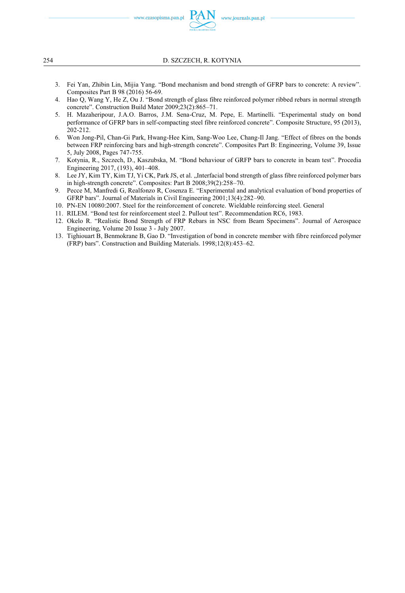www.czasopisma.pan.pl

254 D. SZCZECH, R. KOTYNIA

- 3. Fei Yan, Zhibin Lin, Mijia Yang. "Bond mechanism and bond strength of GFRP bars to concrete: A review". Composites Part B 98 (2016) 56-69.
- 4. Hao Q, Wang Y, He Z, Ou J. "Bond strength of glass fibre reinforced polymer ribbed rebars in normal strength concrete". Construction Build Mater 2009;23(2):865–71.
- 5. H. Mazaheripour, J.A.O. Barros, J.M. Sena-Cruz, M. Pepe, E. Martinelli. "Experimental study on bond performance of GFRP bars in self-compacting steel fibre reinforced concrete". Composite Structure, 95 (2013), 202-212.
- 6. Won Jong-Pil, Chan-Gi Park, Hwang-Hee Kim, Sang-Woo Lee, Chang-Il Jang. "Effect of fibres on the bonds between FRP reinforcing bars and high-strength concrete". Composites Part B: Engineering, Volume 39, Issue 5, July 2008, Pages 747-755.
- 7. Kotynia, R., Szczech, D., Kaszubska, M. "Bond behaviour of GRFP bars to concrete in beam test". Procedia Engineering 2017, (193), 401–408.
- 8. Lee JY, Kim TY, Kim TJ, Yi CK, Park JS, et al. "Interfacial bond strength of glass fibre reinforced polymer bars in high-strength concrete". Composites: Part B 2008;39(2):258–70.
- 9. Pecce M, Manfredi G, Realfonzo R, Cosenza E. "Experimental and analytical evaluation of bond properties of GFRP bars". Journal of Materials in Civil Engineering 2001;13(4):282–90.
- 10. PN-EN 10080:2007. Steel for the reinforcement of concrete. Wieldable reinforcing steel. General
- 11. RILEM. "Bond test for reinforcement steel 2. Pullout test". Recommendation RC6, 1983.
- 12. Okelo R. "Realistic Bond Strength of FRP Rebars in NSC from Beam Specimens". Journal of Aerospace Engineering, Volume 20 Issue 3 - July 2007.
- 13. Tighiouart B, Benmokrane B, Gao D. "Investigation of bond in concrete member with fibre reinforced polymer (FRP) bars". Construction and Building Materials. 1998;12(8):453–62.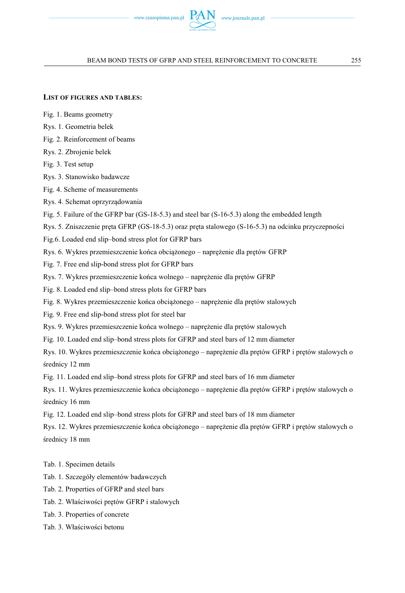

## **LIST OF FIGURES AND TABLES:**

- Fig. 1. Beams geometry
- Rys. 1. Geometria belek
- Fig. 2. Reinforcement of beams
- Rys. 2. Zbrojenie belek
- Fig. 3. Test setup
- Rys. 3. Stanowisko badawcze
- Fig. 4. Scheme of measurements
- Rys. 4. Schemat oprzyrządowania

Fig. 5. Failure of the GFRP bar (GS-18-5.3) and steel bar (S-16-5.3) along the embedded length

- Rys. 5. Zniszczenie pręta GFRP (GS-18-5.3) oraz pręta stalowego (S-16-5.3) na odcinku przyczepności
- Fig.6. Loaded end slip–bond stress plot for GFRP bars
- Rys. 6. Wykres przemieszczenie końca obciążonego naprężenie dla prętów GFRP
- Fig. 7. Free end slip-bond stress plot for GFRP bars
- Rys. 7. Wykres przemieszczenie końca wolnego naprężenie dla prętów GFRP
- Fig. 8. Loaded end slip–bond stress plots for GFRP bars
- Fig. 8. Wykres przemieszczenie końca obciążonego naprężenie dla prętów stalowych
- Fig. 9. Free end slip-bond stress plot for steel bar
- Rys. 9. Wykres przemieszczenie końca wolnego naprężenie dla prętów stalowych
- Fig. 10. Loaded end slip–bond stress plots for GFRP and steel bars of 12 mm diameter
- Rys. 10. Wykres przemieszczenie końca obciążonego naprężenie dla prętów GFRP i prętów stalowych o średnicy 12 mm
- Fig. 11. Loaded end slip–bond stress plots for GFRP and steel bars of 16 mm diameter
- Rys. 11. Wykres przemieszczenie końca obciążonego naprężenie dla prętów GFRP i prętów stalowych o średnicy 16 mm
- Fig. 12. Loaded end slip–bond stress plots for GFRP and steel bars of 18 mm diameter
- Rys. 12. Wykres przemieszczenie końca obciążonego naprężenie dla prętów GFRP i prętów stalowych o średnicy 18 mm
- Tab. 1. Specimen details
- Tab. 1. Szczegóły elementów badawczych
- Tab. 2. Properties of GFRP and steel bars
- Tab. 2. Właściwości prętów GFRP i stalowych
- Tab. 3. Properties of concrete
- Tab. 3. Właściwości betonu